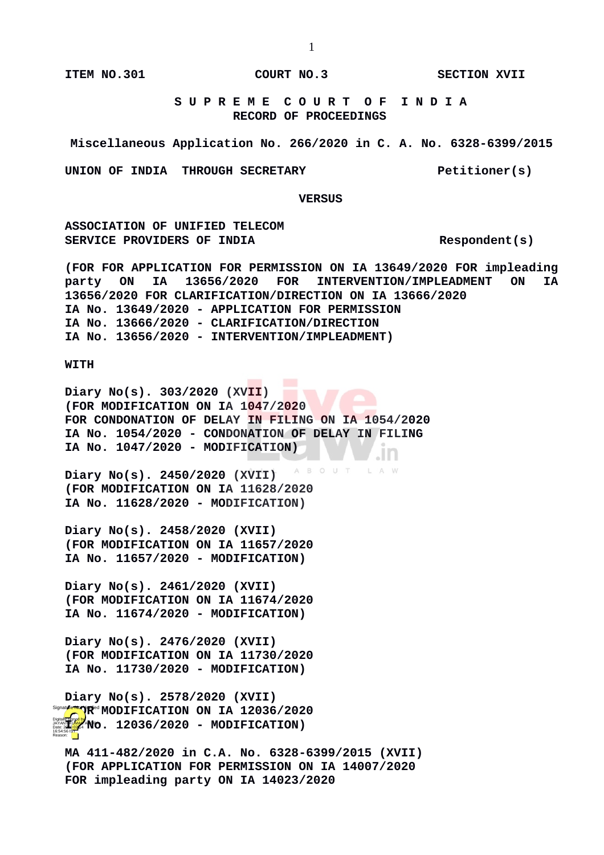**ITEM NO.301 COURT NO.3 SECTION XVII** 

 **S U P R E M E C O U R T O F I N D I A RECORD OF PROCEEDINGS**

**Miscellaneous Application No. 266/2020 in C. A. No. 6328-6399/2015**

UNION OF INDIA THROUGH SECRETARY **Petitioner(s)** 

 **VERSUS**

**ASSOCIATION OF UNIFIED TELECOM**  SERVICE PROVIDERS OF INDIA **Respondent** (s)

**(FOR FOR APPLICATION FOR PERMISSION ON IA 13649/2020 FOR impleading party ON IA 13656/2020 FOR INTERVENTION/IMPLEADMENT ON IA 13656/2020 FOR CLARIFICATION/DIRECTION ON IA 13666/2020 IA No. 13649/2020 - APPLICATION FOR PERMISSION IA No. 13666/2020 - CLARIFICATION/DIRECTION IA No. 13656/2020 - INTERVENTION/IMPLEADMENT)**

## **WITH**

**Diary No(s). 303/2020 (XVII) (FOR MODIFICATION ON IA 1047/2020 FOR CONDONATION OF DELAY IN FILING ON IA 1054/2020 IA No. 1054/2020 - CONDONATION OF DELAY IN FILING IA No. 1047/2020 - MODIFICATION)** . In

B O U T **Diary No(s). 2450/2020 (XVII) (FOR MODIFICATION ON IA 11628/2020 IA No. 11628/2020 - MODIFICATION)**

**Diary No(s). 2458/2020 (XVII) (FOR MODIFICATION ON IA 11657/2020 IA No. 11657/2020 - MODIFICATION)**

**Diary No(s). 2461/2020 (XVII) (FOR MODIFICATION ON IA 11674/2020 IA No. 11674/2020 - MODIFICATION)**

**Diary No(s). 2476/2020 (XVII) (FOR MODIFICATION ON IA 11730/2020 IA No. 11730/2020 - MODIFICATION)**

**Diary No(s). 2578/2020 (XVII)** Signal**y etter NODIFICATION ON IA 12036/2020 IA NO. 12036/2020 - MODIFICATION)** 16:54:56 IST Reason:

**MA 411-482/2020 in C.A. No. 6328-6399/2015 (XVII) (FOR APPLICATION FOR PERMISSION ON IA 14007/2020 FOR impleading party ON IA 14023/2020**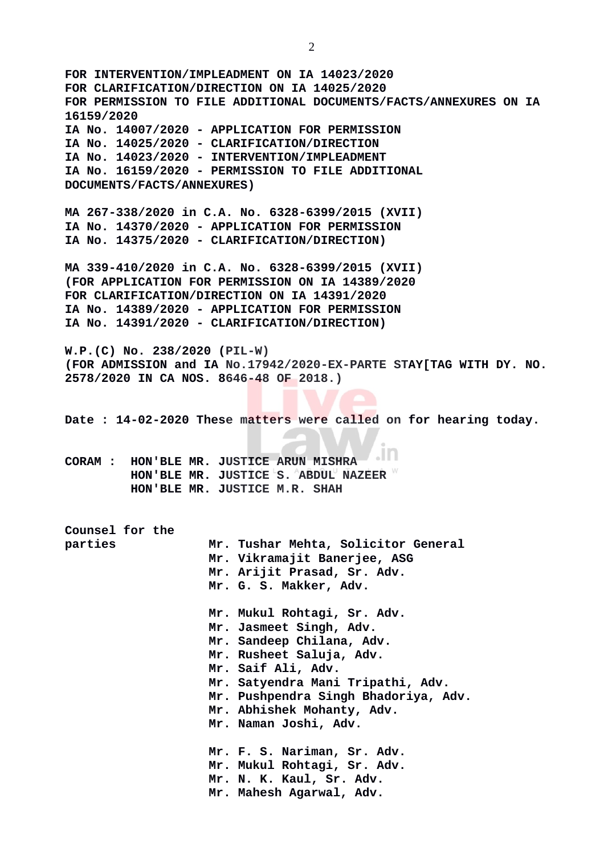**FOR INTERVENTION/IMPLEADMENT ON IA 14023/2020 FOR CLARIFICATION/DIRECTION ON IA 14025/2020 FOR PERMISSION TO FILE ADDITIONAL DOCUMENTS/FACTS/ANNEXURES ON IA 16159/2020 IA No. 14007/2020 - APPLICATION FOR PERMISSION IA No. 14025/2020 - CLARIFICATION/DIRECTION IA No. 14023/2020 - INTERVENTION/IMPLEADMENT IA No. 16159/2020 - PERMISSION TO FILE ADDITIONAL DOCUMENTS/FACTS/ANNEXURES) MA 267-338/2020 in C.A. No. 6328-6399/2015 (XVII) IA No. 14370/2020 - APPLICATION FOR PERMISSION IA No. 14375/2020 - CLARIFICATION/DIRECTION) MA 339-410/2020 in C.A. No. 6328-6399/2015 (XVII) (FOR APPLICATION FOR PERMISSION ON IA 14389/2020 FOR CLARIFICATION/DIRECTION ON IA 14391/2020 IA No. 14389/2020 - APPLICATION FOR PERMISSION IA No. 14391/2020 - CLARIFICATION/DIRECTION) W.P.(C) No. 238/2020 (PIL-W) (FOR ADMISSION and IA No.17942/2020-EX-PARTE STAY[TAG WITH DY. NO. 2578/2020 IN CA NOS. 8646-48 OF 2018.) Date : 14-02-2020 These matters were called on for hearing today. CORAM : HON'BLE MR. JUSTICE ARUN MISHRA HON'BLE MR. JUSTICE S. ABDUL NAZEER HON'BLE MR. JUSTICE M.R. SHAH Counsel for the parties Mr. Tushar Mehta, Solicitor General Mr. Vikramajit Banerjee, ASG Mr. Arijit Prasad, Sr. Adv. Mr. G. S. Makker, Adv. Mr. Mukul Rohtagi, Sr. Adv. Mr. Jasmeet Singh, Adv. Mr. Sandeep Chilana, Adv. Mr. Rusheet Saluja, Adv. Mr. Saif Ali, Adv. Mr. Satyendra Mani Tripathi, Adv. Mr. Pushpendra Singh Bhadoriya, Adv. Mr. Abhishek Mohanty, Adv. Mr. Naman Joshi, Adv. Mr. F. S. Nariman, Sr. Adv. Mr. Mukul Rohtagi, Sr. Adv. Mr. N. K. Kaul, Sr. Adv. Mr. Mahesh Agarwal, Adv.** 

2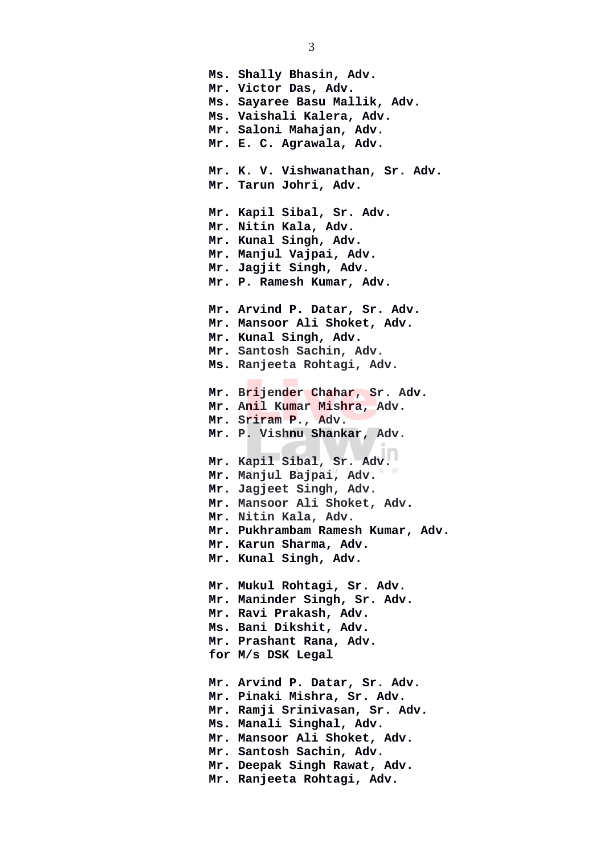**Ms. Shally Bhasin, Adv. Mr. Victor Das, Adv. Ms. Sayaree Basu Mallik, Adv. Ms. Vaishali Kalera, Adv. Mr. Saloni Mahajan, Adv. Mr. E. C. Agrawala, Adv. Mr. K. V. Vishwanathan, Sr. Adv. Mr. Tarun Johri, Adv. Mr. Kapil Sibal, Sr. Adv. Mr. Nitin Kala, Adv. Mr. Kunal Singh, Adv. Mr. Manjul Vajpai, Adv. Mr. Jagjit Singh, Adv. Mr. P. Ramesh Kumar, Adv. Mr. Arvind P. Datar, Sr. Adv. Mr. Mansoor Ali Shoket, Adv. Mr. Kunal Singh, Adv. Mr. Santosh Sachin, Adv. Ms. Ranjeeta Rohtagi, Adv. Mr. Brijender Chahar, Sr. Adv. Mr. Anil Kumar Mishra, Adv. Mr. Sriram P., Adv. Mr. P. Vishnu Shankar, Adv. Mr. Kapil Sibal, Sr. Adv. Mr. Manjul Bajpai, Adv. Mr. Jagjeet Singh, Adv. Mr. Mansoor Ali Shoket, Adv. Mr. Nitin Kala, Adv. Mr. Pukhrambam Ramesh Kumar, Adv. Mr. Karun Sharma, Adv. Mr. Kunal Singh, Adv. Mr. Mukul Rohtagi, Sr. Adv. Mr. Maninder Singh, Sr. Adv. Mr. Ravi Prakash, Adv. Ms. Bani Dikshit, Adv. Mr. Prashant Rana, Adv. for M/s DSK Legal Mr. Arvind P. Datar, Sr. Adv. Mr. Pinaki Mishra, Sr. Adv. Mr. Ramji Srinivasan, Sr. Adv. Ms. Manali Singhal, Adv. Mr. Mansoor Ali Shoket, Adv. Mr. Santosh Sachin, Adv. Mr. Deepak Singh Rawat, Adv. Mr. Ranjeeta Rohtagi, Adv.**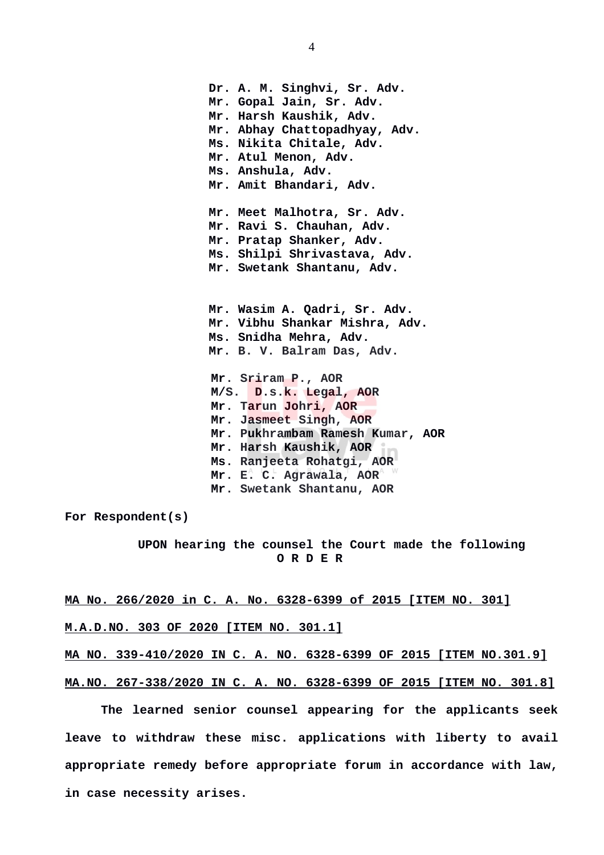**Dr. A. M. Singhvi, Sr. Adv. Mr. Gopal Jain, Sr. Adv. Mr. Harsh Kaushik, Adv. Mr. Abhay Chattopadhyay, Adv. Ms. Nikita Chitale, Adv. Mr. Atul Menon, Adv. Ms. Anshula, Adv. Mr. Amit Bhandari, Adv. Mr. Meet Malhotra, Sr. Adv. Mr. Ravi S. Chauhan, Adv. Mr. Pratap Shanker, Adv. Ms. Shilpi Shrivastava, Adv. Mr. Swetank Shantanu, Adv. Mr. Wasim A. Qadri, Sr. Adv. Mr. Vibhu Shankar Mishra, Adv. Ms. Snidha Mehra, Adv. Mr. B. V. Balram Das, Adv. Mr. Sriram P., AOR M/S. D.s.k. Legal, AOR Mr. Tarun Johri, AOR Mr. Jasmeet Singh, AOR Mr. Pukhrambam Ramesh Kumar, AOR Mr. Harsh Kaushik, AOR Ms. Ranjeeta Rohatgi, AOR Mr. E. C. Agrawala, AOR Mr. Swetank Shantanu, AOR**

**For Respondent(s)**

 **UPON hearing the counsel the Court made the following O R D E R**

**MA No. 266/2020 in C. A. No. 6328-6399 of 2015 [ITEM NO. 301]**

**M.A.D.NO. 303 OF 2020 [ITEM NO. 301.1]**

**MA NO. 339-410/2020 IN C. A. NO. 6328-6399 OF 2015 [ITEM NO.301.9]**

**MA.NO. 267-338/2020 IN C. A. NO. 6328-6399 OF 2015 [ITEM NO. 301.8]**

**The learned senior counsel appearing for the applicants seek leave to withdraw these misc. applications with liberty to avail appropriate remedy before appropriate forum in accordance with law, in case necessity arises.**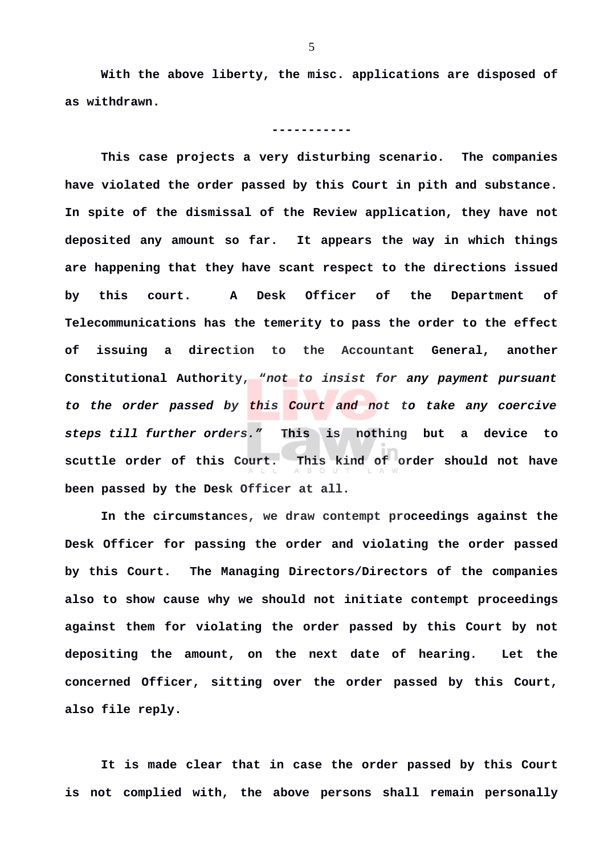**With the above liberty, the misc. applications are disposed of as withdrawn.**

## **-----------**

**This case projects a very disturbing scenario. The companies have violated the order passed by this Court in pith and substance. In spite of the dismissal of the Review application, they have not deposited any amount so far. It appears the way in which things are happening that they have scant respect to the directions issued by this court. A Desk Officer of the Department of Telecommunications has the temerity to pass the order to the effect of issuing a direction to the Accountant General, another Constitutional Authority, "***not to insist for any payment pursuant to the order passed by this Court and not to take any coercive steps till further orders."* **This is nothing but a device to scuttle order of this Court. This kind of order should not have been passed by the Desk Officer at all.** 

**In the circumstances, we draw contempt proceedings against the Desk Officer for passing the order and violating the order passed by this Court. The Managing Directors/Directors of the companies also to show cause why we should not initiate contempt proceedings against them for violating the order passed by this Court by not depositing the amount, on the next date of hearing. Let the concerned Officer, sitting over the order passed by this Court, also file reply.** 

**It is made clear that in case the order passed by this Court is not complied with, the above persons shall remain personally**

5